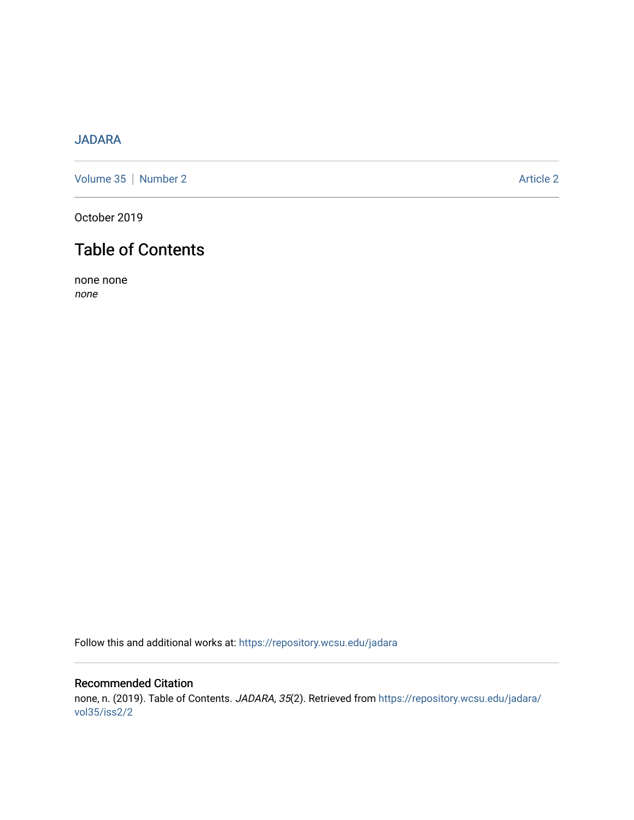# [JADARA](https://repository.wcsu.edu/jadara)

[Volume 35](https://repository.wcsu.edu/jadara/vol35) | [Number 2](https://repository.wcsu.edu/jadara/vol35/iss2) Article 2

October 2019

# Table of Contents

none none none

Follow this and additional works at: [https://repository.wcsu.edu/jadara](https://repository.wcsu.edu/jadara?utm_source=repository.wcsu.edu%2Fjadara%2Fvol35%2Fiss2%2F2&utm_medium=PDF&utm_campaign=PDFCoverPages)

# Recommended Citation none, n. (2019). Table of Contents. JADARA, 35(2). Retrieved from [https://repository.wcsu.edu/jadara/](https://repository.wcsu.edu/jadara/vol35/iss2/2?utm_source=repository.wcsu.edu%2Fjadara%2Fvol35%2Fiss2%2F2&utm_medium=PDF&utm_campaign=PDFCoverPages) [vol35/iss2/2](https://repository.wcsu.edu/jadara/vol35/iss2/2?utm_source=repository.wcsu.edu%2Fjadara%2Fvol35%2Fiss2%2F2&utm_medium=PDF&utm_campaign=PDFCoverPages)